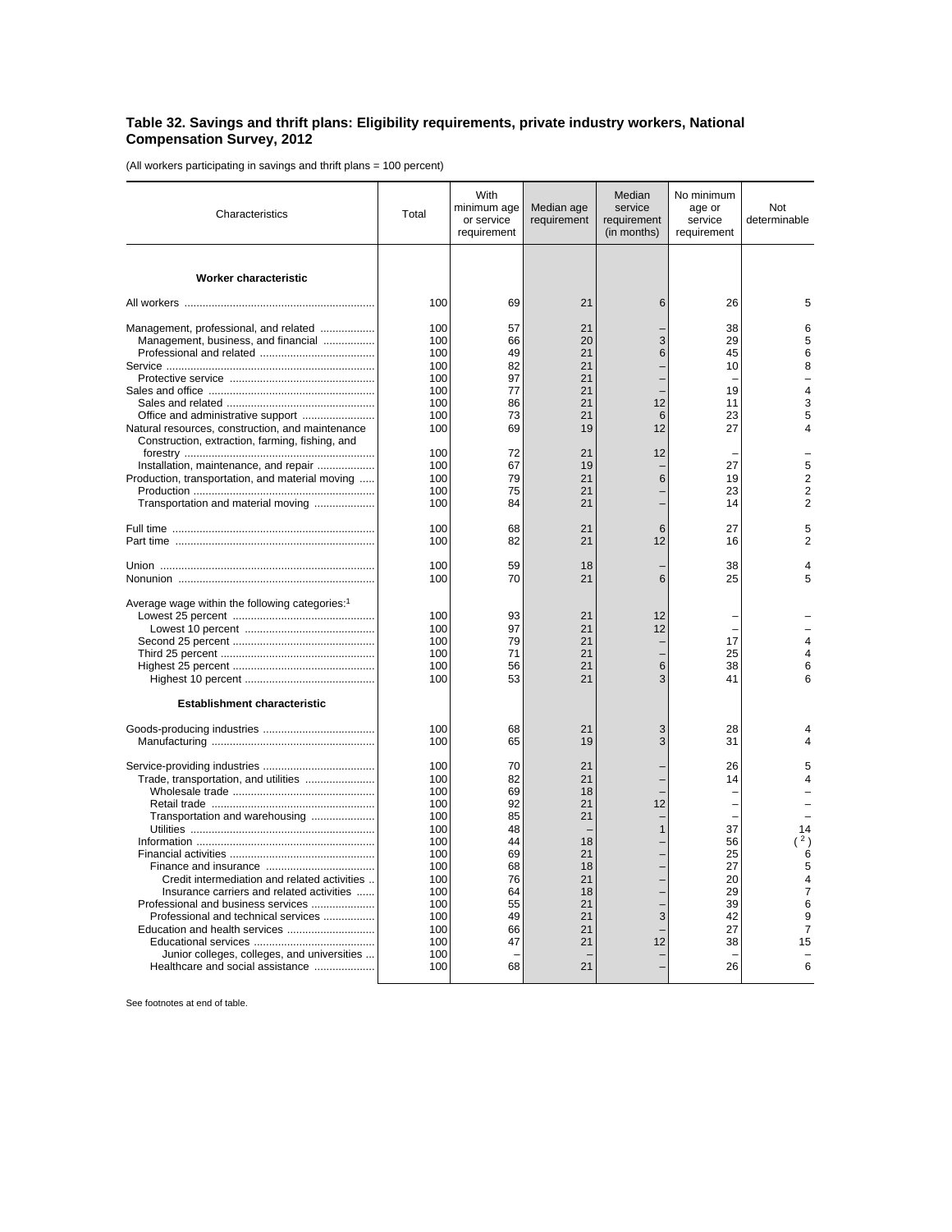## **Table 32. Savings and thrift plans: Eligibility requirements, private industry workers, National Compensation Survey, 2012**

(All workers participating in savings and thrift plans = 100 percent)

| Characteristics                                                                                                                | Total                    | With<br>minimum age<br>or service<br>requirement | Median age<br>requirement | Median<br>service<br>requirement<br>(in months) | No minimum<br>age or<br>service<br>requirement | Not<br>determinable                        |
|--------------------------------------------------------------------------------------------------------------------------------|--------------------------|--------------------------------------------------|---------------------------|-------------------------------------------------|------------------------------------------------|--------------------------------------------|
| Worker characteristic                                                                                                          |                          |                                                  |                           |                                                 |                                                |                                            |
|                                                                                                                                | 100                      | 69                                               | 21                        | 6                                               | 26                                             | 5                                          |
| Management, professional, and related<br>Management, business, and financial                                                   | 100<br>100<br>100        | 57<br>66<br>49                                   | 21<br>20<br>21            | 3<br>6                                          | 38<br>29<br>45                                 | 6<br>5<br>6                                |
|                                                                                                                                | 100<br>100<br>100        | 82<br>97<br>77                                   | 21<br>21<br>21            |                                                 | 10<br>19                                       | 8<br>$\overline{\mathbf{4}}$               |
| Natural resources, construction, and maintenance                                                                               | 100<br>100<br>100        | 86<br>73<br>69                                   | 21<br>21<br>19            | 12<br>6<br>12                                   | 11<br>23<br>27                                 | 3<br>5<br>4                                |
| Construction, extraction, farming, fishing, and                                                                                | 100                      | 72                                               | 21                        | 12                                              |                                                |                                            |
| Installation, maintenance, and repair<br>Production, transportation, and material moving<br>Transportation and material moving | 100<br>100<br>100<br>100 | 67<br>79<br>75<br>84                             | 19<br>21<br>21<br>21      | 6                                               | 27<br>19<br>23<br>14                           | 5<br>2<br>$\overline{2}$<br>$\overline{2}$ |
|                                                                                                                                | 100<br>100               | 68<br>82                                         | 21<br>21                  | 6<br>12                                         | 27<br>16                                       | 5<br>$\overline{2}$                        |
|                                                                                                                                | 100<br>100               | 59<br>70                                         | 18<br>21                  | 6                                               | 38<br>25                                       | 4<br>5                                     |
| Average wage within the following categories: <sup>1</sup>                                                                     | 100                      | 93                                               | 21                        | 12                                              |                                                |                                            |
|                                                                                                                                | 100<br>100               | 97<br>79                                         | 21<br>21                  | 12                                              | 17                                             | 4                                          |
|                                                                                                                                | 100<br>100<br>100        | 71<br>56<br>53                                   | 21<br>21<br>21            | 6<br>3                                          | 25<br>38<br>41                                 | 4<br>6<br>6                                |
| <b>Establishment characteristic</b>                                                                                            |                          |                                                  |                           |                                                 |                                                |                                            |
|                                                                                                                                | 100<br>100               | 68<br>65                                         | 21<br>19                  | 3<br>3                                          | 28<br>31                                       |                                            |
| Trade, transportation, and utilities                                                                                           | 100<br>100<br>100        | 70<br>82<br>69                                   | 21<br>21<br>18            |                                                 | 26<br>14                                       | 5<br>4                                     |
| Transportation and warehousing                                                                                                 | 100<br>100<br>100<br>100 | 92<br>85<br>48<br>44                             | 21<br>21<br>18            | 12<br>$\mathbf{1}$                              | 37<br>56                                       | 14<br>(2)                                  |
| Credit intermediation and related activities                                                                                   | 100<br>100<br>100        | 69<br>68<br>76                                   | 21<br>18<br>21            |                                                 | 25<br>27<br>20                                 | 6<br>5<br>4                                |
| Insurance carriers and related activities<br>Professional and business services<br>Professional and technical services         | 100<br>100<br>100        | 64<br>55<br>49                                   | 18<br>21<br>21            | 3                                               | 29<br>39<br>42                                 | $\overline{7}$<br>6<br>9                   |
| Education and health services<br>Junior colleges, colleges, and universities                                                   | 100<br>100<br>100        | 66<br>47                                         | 21<br>21                  | 12                                              | 27<br>38                                       | $\overline{7}$<br>15                       |
| Healthcare and social assistance                                                                                               | 100                      | 68                                               | 21                        |                                                 | 26                                             | 6                                          |

See footnotes at end of table.